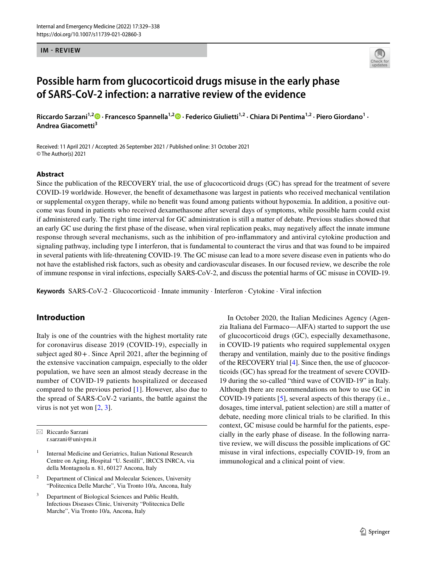#### **IM - REVIEW**



# **Possible harm from glucocorticoid drugs misuse in the early phase of SARS‑CoV‑2 infection: a narrative review of the evidence**

RiccardoSarzani<sup>1,[2](http://orcid.org/0000-0002-1846-7819)</sup> D · Francesco Spannella<sup>1,2</sup> D · Federico Giulietti<sup>1,2</sup> · Chiara Di Pentima<sup>1,2</sup> · Piero Giordano<sup>1</sup> · **Andrea Giacometti3**

Received: 11 April 2021 / Accepted: 26 September 2021 / Published online: 31 October 2021 © The Author(s) 2021

#### **Abstract**

Since the publication of the RECOVERY trial, the use of glucocorticoid drugs (GC) has spread for the treatment of severe COVID-19 worldwide. However, the beneft of dexamethasone was largest in patients who received mechanical ventilation or supplemental oxygen therapy, while no beneft was found among patients without hypoxemia. In addition, a positive outcome was found in patients who received dexamethasone after several days of symptoms, while possible harm could exist if administered early. The right time interval for GC administration is still a matter of debate. Previous studies showed that an early GC use during the frst phase of the disease, when viral replication peaks, may negatively afect the innate immune response through several mechanisms, such as the inhibition of pro-infammatory and antiviral cytokine production and signaling pathway, including type I interferon, that is fundamental to counteract the virus and that was found to be impaired in several patients with life-threatening COVID-19. The GC misuse can lead to a more severe disease even in patients who do not have the established risk factors, such as obesity and cardiovascular diseases. In our focused review, we describe the role of immune response in viral infections, especially SARS-CoV-2, and discuss the potential harms of GC misuse in COVID-19.

**Keywords** SARS-CoV-2 · Glucocorticoid · Innate immunity · Interferon · Cytokine · Viral infection

# **Introduction**

Italy is one of the countries with the highest mortality rate for coronavirus disease 2019 (COVID-19), especially in subject aged 80+. Since April 2021, after the beginning of the extensive vaccination campaign, especially to the older population, we have seen an almost steady decrease in the number of COVID-19 patients hospitalized or deceased compared to the previous period [[1\]](#page-6-0). However, also due to the spread of SARS-CoV-2 variants, the battle against the virus is not yet won [[2,](#page-6-1) [3\]](#page-6-2).

In October 2020, the Italian Medicines Agency (Agenzia Italiana del Farmaco—AIFA) started to support the use of glucocorticoid drugs (GC), especially dexamethasone, in COVID-19 patients who required supplemental oxygen therapy and ventilation, mainly due to the positive fndings of the RECOVERY trial [\[4](#page-6-3)]. Since then, the use of glucocorticoids (GC) has spread for the treatment of severe COVID-19 during the so-called "third wave of COVID-19" in Italy. Although there are recommendations on how to use GC in COVID-19 patients [[5\]](#page-6-4), several aspects of this therapy (i.e., dosages, time interval, patient selection) are still a matter of debate, needing more clinical trials to be clarifed. In this context, GC misuse could be harmful for the patients, especially in the early phase of disease. In the following narrative review, we will discuss the possible implications of GC misuse in viral infections, especially COVID-19, from an immunological and a clinical point of view.

 $\boxtimes$  Riccardo Sarzani r.sarzani@univpm.it

<sup>1</sup> Internal Medicine and Geriatrics, Italian National Research Centre on Aging, Hospital "U. Sestilli", IRCCS INRCA, via della Montagnola n. 81, 60127 Ancona, Italy

<sup>&</sup>lt;sup>2</sup> Department of Clinical and Molecular Sciences, University "Politecnica Delle Marche", Via Tronto 10/a, Ancona, Italy

Department of Biological Sciences and Public Health, Infectious Diseases Clinic, University "Politecnica Delle Marche", Via Tronto 10/a, Ancona, Italy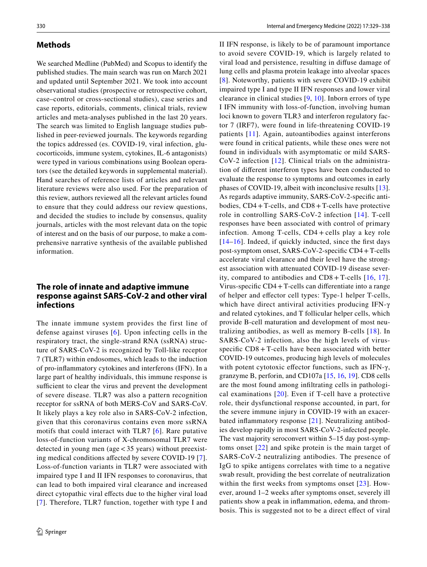#### **Methods**

We searched Medline (PubMed) and Scopus to identify the published studies. The main search was run on March 2021 and updated until September 2021. We took into account observational studies (prospective or retrospective cohort, case–control or cross-sectional studies), case series and case reports, editorials, comments, clinical trials, review articles and meta-analyses published in the last 20 years. The search was limited to English language studies published in peer-reviewed journals. The keywords regarding the topics addressed (es. COVID-19, viral infection, glucocorticoids, immune system, cytokines, IL-6 antagonists) were typed in various combinations using Boolean operators (see the detailed keywords in supplemental material). Hand searches of reference lists of articles and relevant literature reviews were also used. For the preparation of this review, authors reviewed all the relevant articles found to ensure that they could address our review questions, and decided the studies to include by consensus, quality journals, articles with the most relevant data on the topic of interest and on the basis of our purpose, to make a comprehensive narrative synthesis of the available published information.

# **The role of innate and adaptive immune response against SARS‑CoV‑2 and other viral infections**

The innate immune system provides the first line of defense against viruses [[6](#page-6-5)]. Upon infecting cells in the respiratory tract, the single-strand RNA (ssRNA) structure of SARS-CoV-2 is recognized by Toll-like receptor 7 (TLR7) within endosomes, which leads to the induction of pro-infammatory cytokines and interferons (IFN). In a large part of healthy individuals, this immune response is sufficient to clear the virus and prevent the development of severe disease. TLR7 was also a pattern recognition receptor for ssRNA of both MERS-CoV and SARS-CoV. It likely plays a key role also in SARS-CoV-2 infection, given that this coronavirus contains even more ssRNA motifs that could interact with TLR7 [[6](#page-6-5)]. Rare putative loss-of-function variants of X-chromosomal TLR7 were detected in young men (age<35 years) without preexisting medical conditions afected by severe COVID-19 [[7](#page-6-6)]. Loss-of-function variants in TLR7 were associated with impaired type I and II IFN responses to coronavirus, that can lead to both impaired viral clearance and increased direct cytopathic viral efects due to the higher viral load [[7\]](#page-6-6). Therefore, TLR7 function, together with type I and II IFN response, is likely to be of paramount importance to avoid severe COVID-19, which is largely related to viral load and persistence, resulting in difuse damage of lung cells and plasma protein leakage into alveolar spaces [[8\]](#page-6-7). Noteworthy, patients with severe COVID-19 exhibit impaired type I and type II IFN responses and lower viral clearance in clinical studies [[9,](#page-6-8) [10](#page-6-9)]. Inborn errors of type I IFN immunity with loss-of-function, involving human loci known to govern TLR3 and interferon regulatory factor 7 (IRF7), were found in life-threatening COVID-19 patients [[11](#page-6-10)]. Again, autoantibodies against interferons were found in critical patients, while these ones were not found in individuals with asymptomatic or mild SARS-CoV-2 infection [\[12](#page-6-11)]. Clinical trials on the administration of diferent interferon types have been conducted to evaluate the response to symptoms and outcomes in early phases of COVID-19, albeit with inconclusive results [\[13](#page-6-12)]. As regards adaptive immunity, SARS-CoV-2-specifc antibodies,  $CD4 + T$ -cells, and  $CD8 + T$ -cells have protective role in controlling SARS-CoV-2 infection [[14\]](#page-6-13). T-cell responses have been associated with control of primary infection. Among T-cells, CD4 + cells play a key role [[14](#page-6-13)[–16\]](#page-6-14). Indeed, if quickly inducted, since the frst days post-symptom onset, SARS-CoV-2-specifc CD4+T-cells accelerate viral clearance and their level have the strongest association with attenuated COVID-19 disease severity, compared to antibodies and CD8 + T-cells [[16,](#page-6-14) [17](#page-6-15)]. Virus-specific  $CD4 + T$ -cells can differentiate into a range of helper and efector cell types: Type-1 helper T-cells, which have direct antiviral activities producing IFN-γ and related cytokines, and T follicular helper cells, which provide B-cell maturation and development of most neutralizing antibodies, as well as memory B-cells [[18](#page-6-16)]. In SARS-CoV-2 infection, also the high levels of virusspecifc CD8 + T-cells have been associated with better COVID-19 outcomes, producing high levels of molecules with potent cytotoxic effector functions, such as IFN- $\gamma$ , granzyme B, perforin, and CD107a [\[15](#page-6-17), [16,](#page-6-14) [19\]](#page-6-18). CD8 cells are the most found among infltrating cells in pathological examinations [[20\]](#page-6-19). Even if T-cell have a protective role, their dysfunctional response accounted, in part, for the severe immune injury in COVID-19 with an exacerbated infammatory response [\[21\]](#page-6-20). Neutralizing antibodies develop rapidly in most SARS-CoV-2-infected people. The vast majority seroconvert within 5–15 day post-symptoms onset [[22](#page-6-21)] and spike protein is the main target of SARS-CoV-2 neutralizing antibodies. The presence of IgG to spike antigens correlates with time to a negative swab result, providing the best correlate of neutralization within the first weeks from symptoms onset [[23\]](#page-6-22). However, around 1–2 weeks after symptoms onset, severely ill patients show a peak in infammation, edema, and thrombosis. This is suggested not to be a direct efect of viral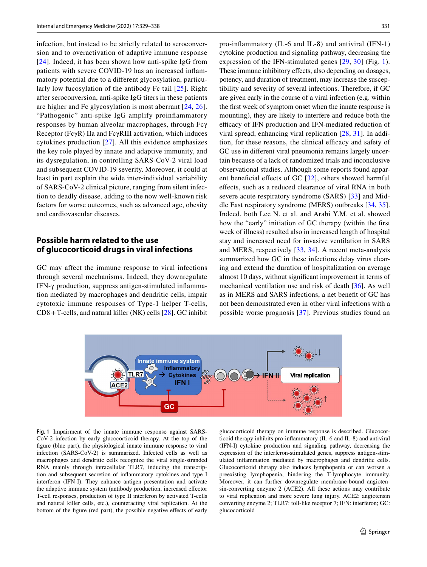infection, but instead to be strictly related to seroconversion and to overactivation of adaptive immune response [[24\]](#page-6-23). Indeed, it has been shown how anti-spike IgG from patients with severe COVID-19 has an increased infammatory potential due to a diferent glycosylation, particularly low fucosylation of the antibody Fc tail [[25\]](#page-6-24). Right after seroconversion, anti-spike IgG titers in these patients are higher and Fc glycosylation is most aberrant [[24,](#page-6-23) [26](#page-6-25)]. "Pathogenic" anti-spike IgG amplify proinfammatory responses by human alveolar macrophages, through Fcγ Receptor (FcγR) IIa and FcγRIII activation, which induces cytokines production [\[27\]](#page-6-26). All this evidence emphasizes the key role played by innate and adaptive immunity, and its dysregulation, in controlling SARS-CoV-2 viral load and subsequent COVID-19 severity. Moreover, it could at least in part explain the wide inter-individual variability of SARS-CoV-2 clinical picture, ranging from silent infection to deadly disease, adding to the now well-known risk factors for worse outcomes, such as advanced age, obesity and cardiovascular diseases.

### **Possible harm related to the use of glucocorticoid drugs in viral infections**

GC may affect the immune response to viral infections through several mechanisms. Indeed, they downregulate IFN-γ production, suppress antigen-stimulated infammation mediated by macrophages and dendritic cells, impair cytotoxic immune responses of Type-1 helper T-cells, CD8+T-cells, and natural killer (NK) cells [[28\]](#page-6-27). GC inhibit pro-infammatory (IL-6 and IL-8) and antiviral (IFN-1) cytokine production and signaling pathway, decreasing the expression of the IFN-stimulated genes [\[29,](#page-6-28) [30\]](#page-6-29) (Fig. [1](#page-2-0)). These immune inhibitory effects, also depending on dosages, potency, and duration of treatment, may increase the susceptibility and severity of several infections. Therefore, if GC are given early in the course of a viral infection (e.g. within the frst week of symptom onset when the innate response is mounting), they are likely to interfere and reduce both the efficacy of IFN production and IFN-mediated reduction of viral spread, enhancing viral replication [[28](#page-6-27), [31\]](#page-6-30). In addition, for these reasons, the clinical efficacy and safety of GC use in diferent viral pneumonia remains largely uncertain because of a lack of randomized trials and inconclusive observational studies. Although some reports found appar-ent beneficial effects of GC [[32\]](#page-6-31), others showed harmful efects, such as a reduced clearance of viral RNA in both severe acute respiratory syndrome (SARS) [\[33\]](#page-6-32) and Middle East respiratory syndrome (MERS) outbreaks [[34,](#page-7-0) [35](#page-7-1)]. Indeed, both Lee N. et al. and Arabi Y.M. et al. showed how the "early" initiation of GC therapy (within the frst week of illness) resulted also in increased length of hospital stay and increased need for invasive ventilation in SARS and MERS, respectively [[33,](#page-6-32) [34\]](#page-7-0). A recent meta-analysis summarized how GC in these infections delay virus clearing and extend the duration of hospitalization on average almost 10 days, without signifcant improvement in terms of mechanical ventilation use and risk of death [[36\]](#page-7-2). As well as in MERS and SARS infections, a net beneft of GC has not been demonstrated even in other viral infections with a possible worse prognosis [\[37\]](#page-7-3). Previous studies found an



<span id="page-2-0"></span>**Fig. 1** Impairment of the innate immune response against SARS-CoV-2 infection by early glucocorticoid therapy. At the top of the fgure (blue part), the physiological innate immune response to viral infection (SARS-CoV-2) is summarized. Infected cells as well as macrophages and dendritic cells recognize the viral single-stranded RNA mainly through intracellular TLR7, inducing the transcription and subsequent secretion of infammatory cytokines and type I interferon (IFN-I). They enhance antigen presentation and activate the adaptive immune system (antibody production, increased efector T-cell responses, production of type II interferon by activated T-cells and natural killer cells, etc.), counteracting viral replication. At the bottom of the fgure (red part), the possible negative efects of early glucocorticoid therapy on immune response is described. Glucocorticoid therapy inhibits pro-infammatory (IL-6 and IL-8) and antiviral (IFN-I) cytokine production and signaling pathway, decreasing the expression of the interferon-stimulated genes, suppress antigen-stimulated infammation mediated by macrophages and dendritic cells. Glucocorticoid therapy also induces lymphopenia or can worsen a preexisting lymphopenia, hindering the T-lymphocyte immunity. Moreover, it can further downregulate membrane-bound angiotensin-converting enzyme 2 (ACE2). All these actions may contribute to viral replication and more severe lung injury. ACE2: angiotensin converting enzyme 2; TLR7: toll-like receptor 7; IFN: interferon; GC: glucocorticoid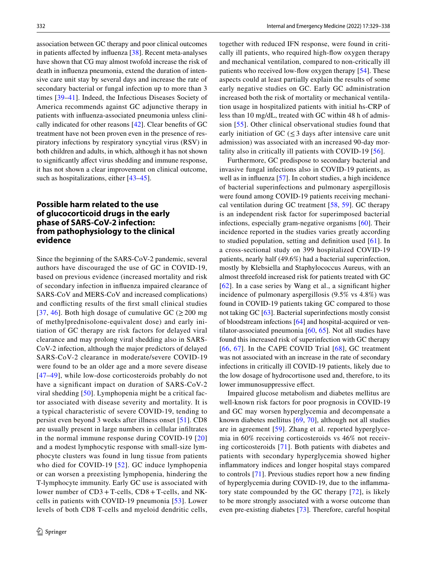association between GC therapy and poor clinical outcomes in patients afected by infuenza [[38\]](#page-7-4). Recent meta-analyses have shown that CG may almost twofold increase the risk of death in infuenza pneumonia, extend the duration of intensive care unit stay by several days and increase the rate of secondary bacterial or fungal infection up to more than 3 times [[39](#page-7-5)[–41](#page-7-6)]. Indeed, the Infectious Diseases Society of America recommends against GC adjunctive therapy in patients with infuenza-associated pneumonia unless clinically indicated for other reasons [[42\]](#page-7-7). Clear benefts of GC treatment have not been proven even in the presence of respiratory infections by respiratory syncytial virus (RSV) in both children and adults, in which, although it has not shown to signifcantly afect virus shedding and immune response, it has not shown a clear improvement on clinical outcome, such as hospitalizations, either [\[43](#page-7-8)[–45\]](#page-7-9).

# **Possible harm related to the use of glucocorticoid drugs in the early phase of SARS‑CoV‑2 infection: from pathophysiology to the clinical evidence**

Since the beginning of the SARS-CoV-2 pandemic, several authors have discouraged the use of GC in COVID-19, based on previous evidence (increased mortality and risk of secondary infection in infuenza impaired clearance of SARS-CoV and MERS-CoV and increased complications) and conficting results of the frst small clinical studies [[37](#page-7-3), [46](#page-7-10)]. Both high dosage of cumulative GC ( $\geq$  200 mg of methylprednisolone-equivalent dose) and early initiation of GC therapy are risk factors for delayed viral clearance and may prolong viral shedding also in SARS-CoV-2 infection, although the major predictors of delayed SARS-CoV-2 clearance in moderate/severe COVID-19 were found to be an older age and a more severe disease [[47](#page-7-11)[–49\]](#page-7-12), while low-dose corticosteroids probably do not have a signifcant impact on duration of SARS-CoV-2 viral shedding [\[50\]](#page-7-13). Lymphopenia might be a critical factor associated with disease severity and mortality. It is a typical characteristic of severe COVID-19, tending to persist even beyond 3 weeks after illness onset [[51](#page-7-14)]. CD8 are usually present in large numbers in cellular infltrates in the normal immune response during COVID-19 [[20\]](#page-6-19) and a modest lymphocytic response with small-size lymphocyte clusters was found in lung tissue from patients who died for COVID-19 [[52\]](#page-7-15). GC induce lymphopenia or can worsen a preexisting lymphopenia, hindering the T-lymphocyte immunity. Early GC use is associated with lower number of CD3+ T-cells, CD8+ T-cells, and NKcells in patients with COVID-19 pneumonia [[53\]](#page-7-16). Lower levels of both CD8 T-cells and myeloid dendritic cells, together with reduced IFN response, were found in critically ill patients, who required high-fow oxygen therapy and mechanical ventilation, compared to non-critically ill patients who received low-fow oxygen therapy [[54\]](#page-7-17). These aspects could at least partially explain the results of some early negative studies on GC. Early GC administration increased both the risk of mortality or mechanical ventilation usage in hospitalized patients with initial hs-CRP of less than 10 mg/dL, treated with GC within 48 h of admission [[55](#page-7-18)]. Other clinical observational studies found that early initiation of GC ( $\leq$ 3 days after intensive care unit admission) was associated with an increased 90-day mortality also in critically ill patients with COVID-19 [[56](#page-7-19)].

Furthermore, GC predispose to secondary bacterial and invasive fungal infections also in COVID-19 patients, as well as in influenza [[57\]](#page-7-20). In cohort studies, a high incidence of bacterial superinfections and pulmonary aspergillosis were found among COVID-19 patients receiving mechanical ventilation during GC treatment [[58](#page-7-21), [59](#page-7-22)]. GC therapy is an independent risk factor for superimposed bacterial infections, especially gram-negative organisms [\[60\]](#page-7-23). Their incidence reported in the studies varies greatly according to studied population, setting and defnition used [\[61\]](#page-7-24). In a cross-sectional study on 399 hospitalized COVID-19 patients, nearly half (49.6%) had a bacterial superinfection, mostly by Klebsiella and Staphylococcus Aureus, with an almost threefold increased risk for patients treated with GC [[62\]](#page-7-25). In a case series by Wang et al., a significant higher incidence of pulmonary aspergillosis (9.5% vs 4.8%) was found in COVID-19 patients taking GC compared to those not taking GC [[63\]](#page-7-26). Bacterial superinfections mostly consist of bloodstream infections [[64\]](#page-7-27) and hospital-acquired or ventilator-associated pneumonia [\[60,](#page-7-23) [65](#page-7-28)]. Not all studies have found this increased risk of superinfection with GC therapy [[66](#page-8-0), [67\]](#page-8-1). In the CAPE COVID Trial [\[68\]](#page-8-2), GC treatment was not associated with an increase in the rate of secondary infections in critically ill COVID-19 patients, likely due to the low dosage of hydrocortisone used and, therefore, to its lower immunosuppressive effect.

Impaired glucose metabolism and diabetes mellitus are well-known risk factors for poor prognosis in COVID-19 and GC may worsen hyperglycemia and decompensate a known diabetes mellitus [[69,](#page-8-3) [70\]](#page-8-4), although not all studies are in agreement [[59\]](#page-7-22). Zhang et al. reported hyperglycemia in 60% receiving corticosteroids vs 46% not receiving corticosteroids [[71\]](#page-8-5). Both patients with diabetes and patients with secondary hyperglycemia showed higher infammatory indices and longer hospital stays compared to controls [\[71](#page-8-5)]. Previous studies report how a new fnding of hyperglycemia during COVID-19, due to the infammatory state compounded by the GC therapy [[72](#page-8-6)], is likely to be more strongly associated with a worse outcome than even pre-existing diabetes [[73\]](#page-8-7). Therefore, careful hospital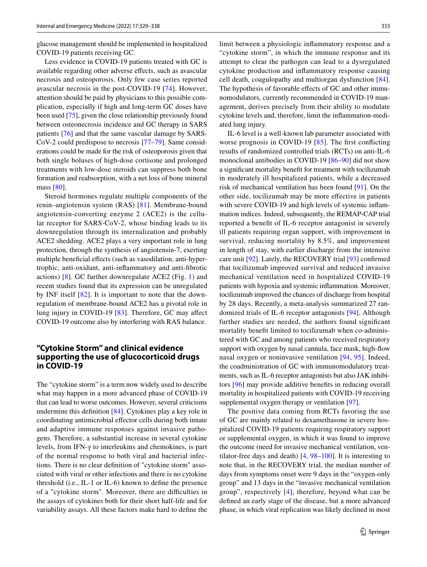glucose management should be implemented in hospitalized COVID-19 patients receiving GC.

Less evidence in COVID-19 patients treated with GC is available regarding other adverse efects, such as avascular necrosis and osteoporosis. Only few case series reported avascular necrosis in the post-COVID-19 [\[74\]](#page-8-8). However, attention should be paid by physicians to this possible complication, especially if high and long-term GC doses have been used [\[75](#page-8-9)], given the close relationship previously found between osteonecrosis incidence and GC therapy in SARS patients [[76\]](#page-8-10) and that the same vascular damage by SARS-CoV-2 could predispose to necrosis [[77–](#page-8-11)[79\]](#page-8-12). Same considerations could be made for the risk of osteoporosis given that both single boluses of high-dose cortisone and prolonged treatments with low-dose steroids can suppress both bone formation and reabsorption, with a net loss of bone mineral mass [[80](#page-8-13)].

Steroid hormones regulate multiple components of the renin–angiotensin system (RAS) [[81](#page-8-14)]. Membrane-bound angiotensin-converting enzyme 2 (ACE2) is the cellular receptor for SARS-CoV-2, whose binding leads to its downregulation through its internalization and probably ACE2 shedding. ACE2 plays a very important role in lung protection, through the synthesis of angiotensin-7, exerting multiple beneficial effects (such as vasodilation, anti-hypertrophic, anti-oxidant, anti-infammatory and anti-fbrotic actions) [\[8](#page-6-7)]. GC further downregulate ACE2 (Fig. [1\)](#page-2-0) and recent studies found that its expression can be unregulated by INF itself [[82](#page-8-15)]. It is important to note that the downregulation of membrane-bound ACE2 has a pivotal role in lung injury in COVID-19 [[83\]](#page-8-16). Therefore, GC may afect COVID-19 outcome also by interfering with RAS balance.

### **"Cytokine Storm" and clinical evidence supporting the use of glucocorticoid drugs in COVID‑19**

The "cytokine storm" is a term now widely used to describe what may happen in a more advanced phase of COVID-19 that can lead to worse outcomes. However, several criticisms undermine this defnition [\[84\]](#page-8-17). Cytokines play a key role in coordinating antimicrobial efector cells during both innate and adaptive immune responses against invasive pathogens. Therefore, a substantial increase in several cytokine levels, from IFN-γ to interleukins and chemokines, is part of the normal response to both viral and bacterial infections. There is no clear defnition of "cytokine storm" associated with viral or other infections and there is no cytokine threshold (i.e., IL-1 or IL-6) known to defne the presence of a "cytokine storm". Moreover, there are difficulties in the assays of cytokines both for their short half-life and for variability assays. All these factors make hard to defne the limit between a physiologic infammatory response and a "cytokine storm", in which the immune response and its attempt to clear the pathogen can lead to a dysregulated cytokine production and infammatory response causing cell death, coagulopathy and multiorgan dysfunction [\[84](#page-8-17)]. The hypothesis of favorable effects of GC and other immunomodulators, currently recommended in COVID-19 management, derives precisely from their ability to modulate cytokine levels and, therefore, limit the infammation-mediated lung injury.

IL-6 level is a well-known lab parameter associated with worse prognosis in COVID-19 [\[85\]](#page-8-18). The first conflicting results of randomized controlled trials (RCTs) on anti-IL-6 monoclonal antibodies in COVID-19 [\[86–](#page-8-19)[90\]](#page-8-20) did not show a signifcant mortality beneft for treatment with tocilizumab in moderately ill hospitalized patients, while a decreased risk of mechanical ventilation has been found [[91\]](#page-8-21). On the other side, tocilizumab may be more efective in patients with severe COVID-19 and high levels of systemic inflammation indices. Indeed, subsequently, the REMAP-CAP trial reported a beneft of IL-6 receptor antagonist in severely ill patients requiring organ support, with improvement in survival, reducing mortality by 8.5%, and improvement in length of stay, with earlier discharge from the intensive care unit [[92\]](#page-8-22). Lately, the RECOVERY trial [\[93](#page-8-23)] confrmed that tocilizumab improved survival and reduced invasive mechanical ventilation need in hospitalized COVID-19 patients with hypoxia and systemic infammation. Moreover, tocilizumab improved the chances of discharge from hospital by 28 days. Recently, a meta-analysis summarized 27 randomized trials of IL-6 receptor antagonists [\[94](#page-8-24)]. Although further studies are needed, the authors found signifcant mortality beneft limited to tocilizumab when co-administered with GC and among patients who received respiratory support with oxygen by nasal cannula, face mask, high-fow nasal oxygen or noninvasive ventilation [[94](#page-8-24), [95](#page-8-25)]. Indeed, the coadministration of GC with immunomodulatory treatments, such as IL-6 receptor antagonists but also JAK inhibitors [[96\]](#page-8-26) may provide additive benefts in reducing overall mortality in hospitalized patients with COVID-19 receiving supplemental oxygen therapy or ventilation [[97\]](#page-8-27).

The positive data coming from RCTs favoring the use of GC are mainly related to dexamethasone in severe hospitalized COVID-19 patients requiring respiratory support or supplemental oxygen, in which it was found to improve the outcome (need for invasive mechanical ventilation, ventilator-free days and death) [\[4](#page-6-3), [98–](#page-8-28)[100](#page-9-0)]. It is interesting to note that, in the RECOVERY trial, the median number of days from symptoms onset were 9 days in the "oxygen-only group" and 13 days in the "invasive mechanical ventilation group", respectively [\[4\]](#page-6-3), therefore, beyond what can be defned an early stage of the disease, but a more advanced phase, in which viral replication was likely declined in most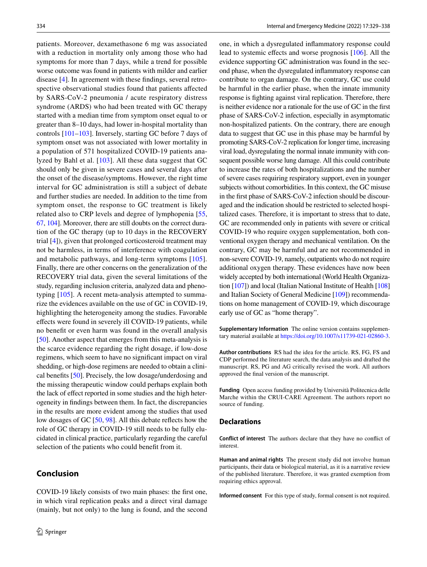patients. Moreover, dexamethasone 6 mg was associated with a reduction in mortality only among those who had symptoms for more than 7 days, while a trend for possible worse outcome was found in patients with milder and earlier disease [[4](#page-6-3)]. In agreement with these fndings, several retrospective observational studies found that patients afected by SARS-CoV-2 pneumonia / acute respiratory distress syndrome (ARDS) who had been treated with GC therapy started with a median time from symptom onset equal to or greater than 8–10 days, had lower in-hospital mortality than controls [\[101–](#page-9-1)[103\]](#page-9-2). Inversely, starting GC before 7 days of symptom onset was not associated with lower mortality in a population of 571 hospitalized COVID-19 patients analyzed by Bahl et al. [[103\]](#page-9-2). All these data suggest that GC should only be given in severe cases and several days after the onset of the disease/symptoms. However, the right time interval for GC administration is still a subject of debate and further studies are needed. In addition to the time from symptom onset, the response to GC treatment is likely related also to CRP levels and degree of lymphopenia [[55,](#page-7-18) [67,](#page-8-1) [104](#page-9-3)]. Moreover, there are still doubts on the correct duration of the GC therapy (up to 10 days in the RECOVERY trial [\[4](#page-6-3)]), given that prolonged corticosteroid treatment may not be harmless, in terms of interference with coagulation and metabolic pathways, and long-term symptoms [[105](#page-9-4)]. Finally, there are other concerns on the generalization of the RECOVERY trial data, given the several limitations of the study, regarding inclusion criteria, analyzed data and phenotyping [\[105](#page-9-4)]. A recent meta-analysis attempted to summarize the evidences available on the use of GC in COVID-19, highlighting the heterogeneity among the studies. Favorable efects were found in severely ill COVID-19 patients, while no beneft or even harm was found in the overall analysis [\[50](#page-7-13)]. Another aspect that emerges from this meta-analysis is the scarce evidence regarding the right dosage, if low-dose regimens, which seem to have no signifcant impact on viral shedding, or high-dose regimens are needed to obtain a clinical benefts [[50\]](#page-7-13). Precisely, the low dosage/underdosing and the missing therapeutic window could perhaps explain both the lack of efect reported in some studies and the high heterogeneity in fndings between them. In fact, the discrepancies in the results are more evident among the studies that used low dosages of GC [\[50](#page-7-13), [98](#page-8-28)]. All this debate refects how the role of GC therapy in COVID-19 still needs to be fully elucidated in clinical practice, particularly regarding the careful selection of the patients who could beneft from it.

# **Conclusion**

COVID-19 likely consists of two main phases: the frst one, in which viral replication peaks and a direct viral damage (mainly, but not only) to the lung is found, and the second one, in which a dysregulated infammatory response could lead to systemic efects and worse prognosis [\[106](#page-9-5)]. All the evidence supporting GC administration was found in the second phase, when the dysregulated infammatory response can contribute to organ damage. On the contrary, GC use could be harmful in the earlier phase, when the innate immunity response is fghting against viral replication. Therefore, there is neither evidence nor a rationale for the use of GC in the frst phase of SARS-CoV-2 infection, especially in asymptomatic non-hospitalized patients. On the contrary, there are enough data to suggest that GC use in this phase may be harmful by promoting SARS-CoV-2 replication for longer time, increasing viral load, dysregulating the normal innate immunity with consequent possible worse lung damage. All this could contribute to increase the rates of both hospitalizations and the number of severe cases requiring respiratory support, even in younger subjects without comorbidities. In this context, the GC misuse in the frst phase of SARS-CoV-2 infection should be discouraged and the indication should be restricted to selected hospitalized cases. Therefore, it is important to stress that to date, GC are recommended only in patients with severe or critical COVID-19 who require oxygen supplementation, both conventional oxygen therapy and mechanical ventilation. On the contrary, GC may be harmful and are not recommended in non-severe COVID-19, namely, outpatients who do not require additional oxygen therapy. These evidences have now been widely accepted by both international (World Health Organization [\[107\]](#page-9-6)) and local (Italian National Institute of Health [\[108](#page-9-7)] and Italian Society of General Medicine [\[109\]](#page-9-8)) recommendations on home management of COVID-19, which discourage early use of GC as "home therapy".

**Supplementary Information** The online version contains supplementary material available at<https://doi.org/10.1007/s11739-021-02860-3>.

**Author contributions** RS had the idea for the article. RS, FG, FS and CDP performed the literature search, the data analysis and drafted the manuscript. RS, PG and AG critically revised the work. All authors approved the fnal version of the manuscript.

**Funding** Open access funding provided by Università Politecnica delle Marche within the CRUI-CARE Agreement. The authors report no source of funding.

#### **Declarations**

**Conflict of interest** The authors declare that they have no confict of interest.

**Human and animal rights** The present study did not involve human participants, their data or biological material, as it is a narrative review of the published literature. Therefore, it was granted exemption from requiring ethics approval.

**Informed consent** For this type of study, formal consent is not required.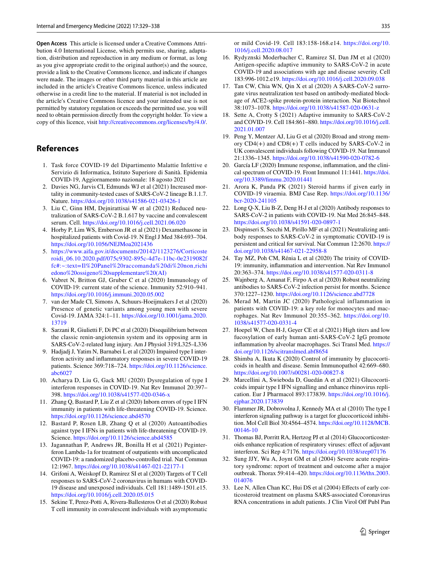**Open Access** This article is licensed under a Creative Commons Attribution 4.0 International License, which permits use, sharing, adaptation, distribution and reproduction in any medium or format, as long as you give appropriate credit to the original author(s) and the source, provide a link to the Creative Commons licence, and indicate if changes were made. The images or other third party material in this article are included in the article's Creative Commons licence, unless indicated otherwise in a credit line to the material. If material is not included in the article's Creative Commons licence and your intended use is not permitted by statutory regulation or exceeds the permitted use, you will need to obtain permission directly from the copyright holder. To view a copy of this licence, visit <http://creativecommons.org/licenses/by/4.0/>.

# **References**

- <span id="page-6-0"></span>1. Task force COVID-19 del Dipartimento Malattie Infettive e Servizio di Informatica, Istituto Superiore di Sanità. Epidemia COVID-19, Aggiornamento nazionale: 18 agosto 2021
- <span id="page-6-1"></span>2. Davies NG, Jarvis CI, Edmunds WJ et al (2021) Increased mortality in community-tested cases of SARS-CoV-2 lineage B.1.1.7. Nature.<https://doi.org/10.1038/s41586-021-03426-1>
- <span id="page-6-2"></span>3. Liu C, Ginn HM, Dejnirattisai W et al (2021) Reduced neutralization of SARS-CoV-2 B.1.617 by vaccine and convalescent serum. Cell. <https://doi.org/10.1016/j.cell.2021.06.020>
- <span id="page-6-3"></span>4. Horby P, Lim WS, Emberson JR et al (2021) Dexamethasone in hospitalized patients with Covid-19. N Engl J Med 384:693–704. <https://doi.org/10.1056/NEJMoa2021436>
- <span id="page-6-4"></span>5. [https://www.aifa.gov.it/documents/20142/1123276/Corticoste](https://www.aifa.gov.it/documents/20142/1123276/Corticosteroidi_06.10.2020.pdf/075c9302-895c-4d7e-11bc-0e2319082ffc#:~:text=Il%20Panel%20raccomanda%20di%20non,richiedono%20ossigeno%20supplementare%20(AI)) [roidi\\_06.10.2020.pdf/075c9302-895c-4d7e-11bc-0e2319082f](https://www.aifa.gov.it/documents/20142/1123276/Corticosteroidi_06.10.2020.pdf/075c9302-895c-4d7e-11bc-0e2319082ffc#:~:text=Il%20Panel%20raccomanda%20di%20non,richiedono%20ossigeno%20supplementare%20(AI)) [fc#:~:text=Il%20Panel%20raccomanda%20di%20non,richi](https://www.aifa.gov.it/documents/20142/1123276/Corticosteroidi_06.10.2020.pdf/075c9302-895c-4d7e-11bc-0e2319082ffc#:~:text=Il%20Panel%20raccomanda%20di%20non,richiedono%20ossigeno%20supplementare%20(AI)) [edono%20ossigeno%20supplementare%20\(AI\)](https://www.aifa.gov.it/documents/20142/1123276/Corticosteroidi_06.10.2020.pdf/075c9302-895c-4d7e-11bc-0e2319082ffc#:~:text=Il%20Panel%20raccomanda%20di%20non,richiedono%20ossigeno%20supplementare%20(AI))
- <span id="page-6-5"></span>6. Vabret N, Britton GJ, Gruber C et al (2020) Immunology of COVID-19: current state of the science. Immunity 52:910–941. <https://doi.org/10.1016/j.immuni.2020.05.002>
- <span id="page-6-6"></span>7. van der Made CI, Simons A, Schuurs-Hoeijmakers J et al (2020) Presence of genetic variants among young men with severe Covid-19. JAMA 324:1–11. [https://doi.org/10.1001/jama.2020.](https://doi.org/10.1001/jama.2020.13719) [13719](https://doi.org/10.1001/jama.2020.13719)
- <span id="page-6-7"></span>8. Sarzani R, Giulietti F, Di PC et al (2020) Disequilibrium between the classic renin-angiotensin system and its opposing arm in SARS-CoV-2-related lung injury. Am J Physiol 319:L325–L336
- <span id="page-6-8"></span>9. Hadjadj J, Yatim N, Barnabei L et al (2020) Impaired type I interferon activity and infammatory responses in severe COVID-19 patients. Science 369:718–724. [https://doi.org/10.1126/science.](https://doi.org/10.1126/science.abc6027) [abc6027](https://doi.org/10.1126/science.abc6027)
- <span id="page-6-9"></span>10. Acharya D, Liu G, Gack MU (2020) Dysregulation of type I interferon responses in COVID-19. Nat Rev Immunol 20:397– 398. <https://doi.org/10.1038/s41577-020-0346-x>
- <span id="page-6-10"></span>11. Zhang Q, Bastard P, Liu Z et al (2020) Inborn errors of type I IFN immunity in patients with life-threatening COVID-19. Science. <https://doi.org/10.1126/science.abd4570>
- <span id="page-6-11"></span>12. Bastard P, Rosen LB, Zhang Q et al (2020) Autoantibodies against type I IFNs in patients with life-threatening COVID-19. Science.<https://doi.org/10.1126/science.abd4585>
- <span id="page-6-12"></span>13. Jagannathan P, Andrews JR, Bonilla H et al (2021) Peginterferon Lambda-1a for treatment of outpatients with uncomplicated COVID-19: a randomized placebo-controlled trial. Nat Commun 12:1967. <https://doi.org/10.1038/s41467-021-22177-1>
- <span id="page-6-13"></span>14. Grifoni A, Weiskopf D, Ramirez SI et al (2020) Targets of T Cell responses to SARS-CoV-2 coronavirus in humans with COVID-19 disease and unexposed individuals. Cell 181:1489-1501.e15. <https://doi.org/10.1016/j.cell.2020.05.015>
- <span id="page-6-17"></span>15. Sekine T, Perez-Potti A, Rivera-Ballesteros O et al (2020) Robust T cell immunity in convalescent individuals with asymptomatic

or mild Covid-19. Cell 183:158-168.e14. [https://doi.org/10.](https://doi.org/10.1016/j.cell.2020.08.017) [1016/j.cell.2020.08.017](https://doi.org/10.1016/j.cell.2020.08.017)

- <span id="page-6-14"></span>16. Rydyznski Moderbacher C, Ramirez SI, Dan JM et al (2020) Antigen-specifc adaptive immunity to SARS-CoV-2 in acute COVID-19 and associations with age and disease severity. Cell 183:996-1012.e19. <https://doi.org/10.1016/j.cell.2020.09.038>
- <span id="page-6-15"></span>17. Tan CW, Chia WN, Qin X et al (2020) A SARS-CoV-2 surrogate virus neutralization test based on antibody-mediated blockage of ACE2-spike protein-protein interaction. Nat Biotechnol 38:1073–1078.<https://doi.org/10.1038/s41587-020-0631-z>
- <span id="page-6-16"></span>18. Sette A, Crotty S (2021) Adaptive immunity to SARS-CoV-2 and COVID-19. Cell 184:861–880. [https://doi.org/10.1016/j.cell.](https://doi.org/10.1016/j.cell.2021.01.007) [2021.01.007](https://doi.org/10.1016/j.cell.2021.01.007)
- <span id="page-6-18"></span>19. Peng Y, Mentzer AJ, Liu G et al (2020) Broad and strong memory  $CD4(+)$  and  $CD8(+)$  T cells induced by SARS-CoV-2 in UK convalescent individuals following COVID-19. Nat Immunol 21:1336–1345.<https://doi.org/10.1038/s41590-020-0782-6>
- <span id="page-6-19"></span>20. García LF (2020) Immune response, infammation, and the clinical spectrum of COVID-19. Front Immunol 11:1441. [https://doi.](https://doi.org/10.3389/fimmu.2020.01441) [org/10.3389/fmmu.2020.01441](https://doi.org/10.3389/fimmu.2020.01441)
- <span id="page-6-20"></span>21. Arora K, Panda PK (2021) Steroid harms if given early in COVID-19 viraemia. BMJ Case Rep. [https://doi.org/10.1136/](https://doi.org/10.1136/bcr-2020-241105) [bcr-2020-241105](https://doi.org/10.1136/bcr-2020-241105)
- <span id="page-6-21"></span>22. Long Q-X, Liu B-Z, Deng H-J et al (2020) Antibody responses to SARS-CoV-2 in patients with COVID-19. Nat Med 26:845–848. <https://doi.org/10.1038/s41591-020-0897-1>
- <span id="page-6-22"></span>23. Dispinseri S, Secchi M, Pirillo MF et al (2021) Neutralizing antibody responses to SARS-CoV-2 in symptomatic COVID-19 is persistent and critical for survival. Nat Commun 12:2670. [https://](https://doi.org/10.1038/s41467-021-22958-8) [doi.org/10.1038/s41467-021-22958-8](https://doi.org/10.1038/s41467-021-22958-8)
- <span id="page-6-23"></span>24. Tay MZ, Poh CM, Rénia L et al (2020) The trinity of COVID-19: immunity, infammation and intervention. Nat Rev Immunol 20:363–374. <https://doi.org/10.1038/s41577-020-0311-8>
- <span id="page-6-24"></span>25. Wajnberg A, Amanat F, Firpo A et al (2020) Robust neutralizing antibodies to SARS-CoV-2 infection persist for months. Science 370:1227–1230. <https://doi.org/10.1126/science.abd7728>
- <span id="page-6-25"></span>26. Merad M, Martin JC (2020) Pathological inflammation in patients with COVID-19: a key role for monocytes and macrophages. Nat Rev Immunol 20:355–362. [https://doi.org/10.](https://doi.org/10.1038/s41577-020-0331-4) [1038/s41577-020-0331-4](https://doi.org/10.1038/s41577-020-0331-4)
- <span id="page-6-26"></span>27. Hoepel W, Chen H-J, Geyer CE et al (2021) High titers and low fucosylation of early human anti-SARS-CoV-2 IgG promote infammation by alveolar macrophages. Sci Transl Med. [https://](https://doi.org/10.1126/scitranslmed.abf8654) [doi.org/10.1126/scitranslmed.abf8654](https://doi.org/10.1126/scitranslmed.abf8654)
- <span id="page-6-27"></span>28. Shimba A, Ikuta K (2020) Control of immunity by glucocorticoids in health and disease. Semin Immunopathol 42:669–680. <https://doi.org/10.1007/s00281-020-00827-8>
- <span id="page-6-28"></span>29. Marcellini A, Swieboda D, Guedán A et al (2021) Glucocorticoids impair type I IFN signalling and enhance rhinovirus replication. Eur J Pharmacol 893:173839. [https://doi.org/10.1016/j.](https://doi.org/10.1016/j.ejphar.2020.173839) [ejphar.2020.173839](https://doi.org/10.1016/j.ejphar.2020.173839)
- <span id="page-6-29"></span>30. Flammer JR, Dobrovolna J, Kennedy MA et al (2010) The type I interferon signaling pathway is a target for glucocorticoid inhibition. Mol Cell Biol 30:4564–4574. [https://doi.org/10.1128/MCB.](https://doi.org/10.1128/MCB.00146-10) [00146-10](https://doi.org/10.1128/MCB.00146-10)
- <span id="page-6-30"></span>31. Thomas BJ, Porritt RA, Hertzog PJ et al (2014) Glucocorticosteroids enhance replication of respiratory viruses: effect of adjuvant interferon. Sci Rep 4:7176. <https://doi.org/10.1038/srep07176>
- <span id="page-6-31"></span>32. Sung JJY, Wu A, Joynt GM et al (2004) Severe acute respiratory syndrome: report of treatment and outcome after a major outbreak. Thorax 59:414–420. [https://doi.org/10.1136/thx.2003.](https://doi.org/10.1136/thx.2003.014076) [014076](https://doi.org/10.1136/thx.2003.014076)
- <span id="page-6-32"></span>33. Lee N, Allen Chan KC, Hui DS et al (2004) Efects of early corticosteroid treatment on plasma SARS-associated Coronavirus RNA concentrations in adult patients. J Clin Virol Off Publ Pan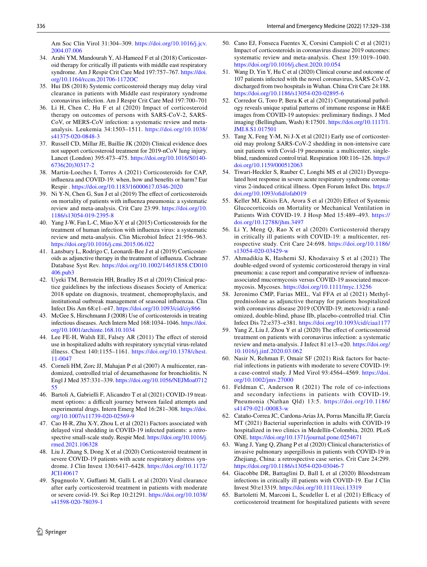Am Soc Clin Virol 31:304–309. [https://doi.org/10.1016/j.jcv.](https://doi.org/10.1016/j.jcv.2004.07.006) [2004.07.006](https://doi.org/10.1016/j.jcv.2004.07.006)

- <span id="page-7-0"></span>34. Arabi YM, Mandourah Y, Al-Hameed F et al (2018) Corticosteroid therapy for critically ill patients with middle east respiratory syndrome. Am J Respir Crit Care Med 197:757–767. [https://doi.](https://doi.org/10.1164/rccm.201706-1172OC) [org/10.1164/rccm.201706-1172OC](https://doi.org/10.1164/rccm.201706-1172OC)
- <span id="page-7-1"></span>35. Hui DS (2018) Systemic corticosteroid therapy may delay viral clearance in patients with Middle east respiratory syndrome coronavirus infection. Am J Respir Crit Care Med 197:700–701
- <span id="page-7-2"></span>36. Li H, Chen C, Hu F et al (2020) Impact of corticosteroid therapy on outcomes of persons with SARS-CoV-2, SARS-CoV, or MERS-CoV infection: a systematic review and metaanalysis. Leukemia 34:1503–1511. [https://doi.org/10.1038/](https://doi.org/10.1038/s41375-020-0848-3) [s41375-020-0848-3](https://doi.org/10.1038/s41375-020-0848-3)
- <span id="page-7-3"></span>37. Russell CD, Millar JE, Baillie JK (2020) Clinical evidence does not support corticosteroid treatment for 2019-nCoV lung injury. Lancet (London) 395:473–475. [https://doi.org/10.1016/S0140-](https://doi.org/10.1016/S0140-6736(20)30317-2) [6736\(20\)30317-2](https://doi.org/10.1016/S0140-6736(20)30317-2)
- <span id="page-7-4"></span>38. Martin-Loeches I, Torres A (2021) Corticosteroids for CAP, infuenza and COVID-19: when, how and benefts or harm? Eur Respir .<https://doi.org/10.1183/16000617.0346-2020>
- <span id="page-7-5"></span>39. Ni Y-N, Chen G, Sun J et al (2019) The efect of corticosteroids on mortality of patients with infuenza pneumonia: a systematic review and meta-analysis. Crit Care 23:99. [https://doi.org/10.](https://doi.org/10.1186/s13054-019-2395-8) [1186/s13054-019-2395-8](https://doi.org/10.1186/s13054-019-2395-8)
- 40. Yang J-W, Fan L-C, Miao X-Y et al (2015) Corticosteroids for the treatment of human infection with infuenza virus: a systematic review and meta-analysis. Clin Microbiol Infect 21:956–963. <https://doi.org/10.1016/j.cmi.2015.06.022>
- <span id="page-7-6"></span>41. Lansbury L, Rodrigo C, Leonardi-Bee J et al (2019) Corticosteroids as adjunctive therapy in the treatment of infuenza. Cochrane Database Syst Rev. [https://doi.org/10.1002/14651858.CD010](https://doi.org/10.1002/14651858.CD010406.pub3) [406.pub3](https://doi.org/10.1002/14651858.CD010406.pub3)
- <span id="page-7-7"></span>42. Uyeki TM, Bernstein HH, Bradley JS et al (2019) Clinical practice guidelines by the infectious diseases Society of America: 2018 update on diagnosis, treatment, chemoprophylaxis, and institutional outbreak management of seasonal infuenzaa. Clin Infect Dis Am 68:e1–e47.<https://doi.org/10.1093/cid/ciy866>
- <span id="page-7-8"></span>43. McGee S, Hirschmann J (2008) Use of corticosteroids in treating infectious diseases. Arch Intern Med 168:1034–1046. [https://doi.](https://doi.org/10.1001/archinte.168.10.1034) [org/10.1001/archinte.168.10.1034](https://doi.org/10.1001/archinte.168.10.1034)
- 44. Lee FE-H, Walsh EE, Falsey AR (2011) The efect of steroid use in hospitalized adults with respiratory syncytial virus-related illness. Chest 140:1155–1161. [https://doi.org/10.1378/chest.](https://doi.org/10.1378/chest.11-0047) [11-0047](https://doi.org/10.1378/chest.11-0047)
- <span id="page-7-9"></span>45. Corneli HM, Zorc JJ, Mahajan P et al (2007) A multicenter, randomized, controlled trial of dexamethasone for bronchiolitis. N Engl J Med 357:331–339. [https://doi.org/10.1056/NEJMoa0712](https://doi.org/10.1056/NEJMoa071255) [55](https://doi.org/10.1056/NEJMoa071255)
- <span id="page-7-10"></span>46. Bartoli A, Gabrielli F, Alicandro T et al (2021) COVID-19 treatment options: a difficult journey between failed attempts and experimental drugs. Intern Emerg Med 16:281–308. [https://doi.](https://doi.org/10.1007/s11739-020-02569-9) [org/10.1007/s11739-020-02569-9](https://doi.org/10.1007/s11739-020-02569-9)
- <span id="page-7-11"></span>47. Cao H-R, Zhu X-Y, Zhou L et al (2021) Factors associated with delayed viral shedding in COVID-19 infected patients: a retrospective small-scale study. Respir Med. [https://doi.org/10.1016/j.](https://doi.org/10.1016/j.rmed.2021.106328) [rmed.2021.106328](https://doi.org/10.1016/j.rmed.2021.106328)
- 48. Liu J, Zhang S, Dong X et al (2020) Corticosteroid treatment in severe COVID-19 patients with acute respiratory distress syndrome. J Clin Invest 130:6417–6428. [https://doi.org/10.1172/](https://doi.org/10.1172/JCI140617) [JCI140617](https://doi.org/10.1172/JCI140617)
- <span id="page-7-12"></span>49. Spagnuolo V, Gufanti M, Galli L et al (2020) Viral clearance after early corticosteroid treatment in patients with moderate or severe covid-19. Sci Rep 10:21291. [https://doi.org/10.1038/](https://doi.org/10.1038/s41598-020-78039-1) [s41598-020-78039-1](https://doi.org/10.1038/s41598-020-78039-1)
- <span id="page-7-13"></span>50. Cano EJ, Fonseca Fuentes X, Corsini Campioli C et al (2021) Impact of corticosteroids in coronavirus disease 2019 outcomes: systematic review and meta-analysis. Chest 159:1019–1040. <https://doi.org/10.1016/j.chest.2020.10.054>
- <span id="page-7-14"></span>51. Wang D, Yin Y, Hu C et al (2020) Clinical course and outcome of 107 patients infected with the novel coronavirus, SARS-CoV-2, discharged from two hospitals in Wuhan. China Crit Care 24:188. <https://doi.org/10.1186/s13054-020-02895-6>
- <span id="page-7-15"></span>52. Corredor G, Toro P, Bera K et al (2021) Computational pathology reveals unique spatial patterns of immune response in H&E images from COVID-19 autopsies: preliminary fndings. J Med imaging (Bellingham, Wash) 8:17501. [https://doi.org/10.1117/1.](https://doi.org/10.1117/1.JMI.8.S1.017501) [JMI.8.S1.017501](https://doi.org/10.1117/1.JMI.8.S1.017501)
- <span id="page-7-16"></span>53. Tang X, Feng Y-M, Ni J-X et al (2021) Early use of corticosteroid may prolong SARS-CoV-2 shedding in non-intensive care unit patients with Covid-19 pneumonia: a multicenter, singleblind, randomized control trial. Respiration 100:116–126. [https://](https://doi.org/10.1159/000512063) [doi.org/10.1159/000512063](https://doi.org/10.1159/000512063)
- <span id="page-7-17"></span>54. Tiwari-Heckler S, Rauber C, Longhi MS et al (2021) Dysregulated host response in severe acute respiratory syndrome coronavirus 2-induced critical illness. Open Forum Infect Dis. [https://](https://doi.org/10.1093/ofid/ofab019) [doi.org/10.1093/ofd/ofab019](https://doi.org/10.1093/ofid/ofab019)
- <span id="page-7-18"></span>55. Keller MJ, Kitsis EA, Arora S et al (2020) Efect of Systemic Glucocorticoids on Mortality or Mechanical Ventilation in Patients With COVID-19. J Hosp Med 15:489–493. [https://](https://doi.org/10.12788/jhm.3497) [doi.org/10.12788/jhm.3497](https://doi.org/10.12788/jhm.3497)
- <span id="page-7-19"></span>56. Li Y, Meng Q, Rao X et al (2020) Corticosteroid therapy in critically ill patients with COVID-19: a multicenter, retrospective study. Crit Care 24:698. [https://doi.org/10.1186/](https://doi.org/10.1186/s13054-020-03429-w) [s13054-020-03429-w](https://doi.org/10.1186/s13054-020-03429-w)
- <span id="page-7-20"></span>57. Ahmadikia K, Hashemi SJ, Khodavaisy S et al (2021) The double-edged sword of systemic corticosteroid therapy in viral pneumonia: a case report and comparative review of infuenzaassociated mucormycosis versus COVID-19 associated mucormycosis. Mycoses.<https://doi.org/10.1111/myc.13256>
- <span id="page-7-21"></span>58. Jeronimo CMP, Farias MEL, Val FFA et al (2021) Methylprednisolone as adjunctive therapy for patients hospitalized with coronavirus disease 2019 (COVID-19; metcovid): a randomized, double-blind, phase IIb, placebo-controlled trial. Clin Infect Dis 72:e373–e381.<https://doi.org/10.1093/cid/ciaa1177>
- <span id="page-7-22"></span>59. Yang Z, Liu J, Zhou Y et al (2020) The efect of corticosteroid treatment on patients with coronavirus infection: a systematic review and meta-analysis. J Infect 81:e13–e20. [https://doi.org/](https://doi.org/10.1016/j.jinf.2020.03.062) [10.1016/j.jinf.2020.03.062](https://doi.org/10.1016/j.jinf.2020.03.062)
- <span id="page-7-23"></span>60. Nasir N, Rehman F, Omair SF (2021) Risk factors for bacterial infections in patients with moderate to severe COVID-19: a case-control study. J Med Virol 93:4564–4569. [https://doi.](https://doi.org/10.1002/jmv.27000) [org/10.1002/jmv.27000](https://doi.org/10.1002/jmv.27000)
- <span id="page-7-24"></span>61. Feldman C, Anderson R (2021) The role of co-infections and secondary infections in patients with COVID-19. Pneumonia (Nathan Qld) 13:5. [https://doi.org/10.1186/](https://doi.org/10.1186/s41479-021-00083-w) [s41479-021-00083-w](https://doi.org/10.1186/s41479-021-00083-w)
- <span id="page-7-25"></span>62. Cataño-Correa JC, Cardona-Arias JA, Porras Mancilla JP, García MT (2021) Bacterial superinfection in adults with COVID-19 hospitalized in two clinics in Medellín-Colombia, 2020. PLoS ONE.<https://doi.org/10.1371/journal.pone.0254671>
- <span id="page-7-26"></span>63. Wang J, Yang Q, Zhang P et al (2020) Clinical characteristics of invasive pulmonary aspergillosis in patients with COVID-19 in Zhejiang, China: a retrospective case series. Crit Care 24:299. <https://doi.org/10.1186/s13054-020-03046-7>
- <span id="page-7-27"></span>64. Giacobbe DR, Battaglini D, Ball L et al (2020) Bloodstream infections in critically ill patients with COVID-19. Eur J Clin Invest 50:e13319. <https://doi.org/10.1111/eci.13319>
- <span id="page-7-28"></span>65. Bartoletti M, Marconi L, Scudeller L et al (2021) Efficacy of corticosteroid treatment for hospitalized patients with severe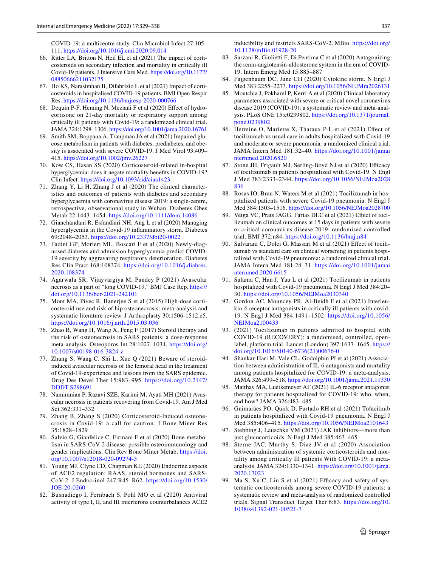COVID-19: a multicentre study. Clin Microbiol Infect 27:105– 111. <https://doi.org/10.1016/j.cmi.2020.09.014>

- <span id="page-8-0"></span>66. Ritter LA, Britton N, Heil EL et al (2021) The impact of corticosteroids on secondary infection and mortality in critically ill Covid-19 patients. J Intensive Care Med. [https://doi.org/10.1177/](https://doi.org/10.1177/08850666211032175) [08850666211032175](https://doi.org/10.1177/08850666211032175)
- <span id="page-8-1"></span>67. Ho KS, Narasimhan B, Difabrizio L et al (2021) Impact of corticosteroids in hospitalised COVID-19 patients. BMJ Open Respir Res. <https://doi.org/10.1136/bmjresp-2020-000766>
- <span id="page-8-2"></span>68. Dequin P-F, Heming N, Meziani F et al (2020) Efect of hydrocortisone on 21-day mortality or respiratory support among critically ill patients with Covid-19: a randomized clinical trial. JAMA 324:1298–1306. <https://doi.org/10.1001/jama.2020.16761>
- <span id="page-8-3"></span>69. Smith SM, Boppana A, Traupman JA et al (2021) Impaired glucose metabolism in patients with diabetes, prediabetes, and obesity is associated with severe COVID-19. J Med Virol 93:409– 415. <https://doi.org/10.1002/jmv.26227>
- <span id="page-8-4"></span>70. Kow CS, Hasan SS (2020) Corticosteroid-related in-hospital hyperglycemia: does it negate mortality benefts in COVID-19? Clin Infect.<https://doi.org/10.1093/cid/ciaa1423>
- <span id="page-8-5"></span>71. Zhang Y, Li H, Zhang J et al (2020) The clinical characteristics and outcomes of patients with diabetes and secondary hyperglycaemia with coronavirus disease 2019: a single-centre, retrospective, observational study in Wuhan. Diabetes Obes Metab 22:1443–1454. <https://doi.org/10.1111/dom.14086>
- <span id="page-8-6"></span>72. Gianchandani R, Esfandiari NH, Ang L et al (2020) Managing hyperglycemia in the Covid-19 infammatory storm. Diabetes 69:2048–2053.<https://doi.org/10.2337/dbi20-0022>
- <span id="page-8-7"></span>73. Fadini GP, Morieri ML, Boscari F et al (2020) Newly-diagnosed diabetes and admission hyperglycemia predict COVID-19 severity by aggravating respiratory deterioration. Diabetes Res Clin Pract 168:108374. [https://doi.org/10.1016/j.diabres.](https://doi.org/10.1016/j.diabres.2020.108374) [2020.108374](https://doi.org/10.1016/j.diabres.2020.108374)
- <span id="page-8-8"></span>74. Agarwala SR, Vijayvargiya M, Pandey P (2021) Avascular necrosis as a part of "long COVID-19." BMJ Case Rep. [https://](https://doi.org/10.1136/bcr-2021-242101) [doi.org/10.1136/bcr-2021-242101](https://doi.org/10.1136/bcr-2021-242101)
- <span id="page-8-9"></span>75. Mont MA, Pivec R, Banerjee S et al (2015) High-dose corticosteroid use and risk of hip osteonecrosis: meta-analysis and systematic literature review. J Arthroplasty 30:1506-1512.e5. <https://doi.org/10.1016/j.arth.2015.03.036>
- <span id="page-8-10"></span>76. Zhao R, Wang H, Wang X, Feng F (2017) Steroid therapy and the risk of osteonecrosis in SARS patients: a dose-response meta-analysis. Osteoporos Int 28:1027–1034. [https://doi.org/](https://doi.org/10.1007/s00198-016-3824-z) [10.1007/s00198-016-3824-z](https://doi.org/10.1007/s00198-016-3824-z)
- <span id="page-8-11"></span>77. Zhang S, Wang C, Shi L, Xue Q (2021) Beware of steroidinduced avascular necrosis of the femoral head in the treatment of Covid-19-experience and lessons from the SARS epidemic. Drug Des Devel Ther 15:983–995. [https://doi.org/10.2147/](https://doi.org/10.2147/DDDT.S298691) [DDDT.S298691](https://doi.org/10.2147/DDDT.S298691)
- 78. Namiranian P, Razavi SZE, Karimi M, Ayati MH (2021) Avascular necrosis in patients recovering from Covid-19. Am J Med Sci 362:331–332
- <span id="page-8-12"></span>79. Zhang B, Zhang S (2020) Corticosteroid-Induced osteonecrosis in Covid-19: a call for caution. J Bone Miner Res 35:1828–1829
- <span id="page-8-13"></span>80. Salvio G, Gianfelice C, Firmani F et al (2020) Bone metabolism in SARS-CoV-2 disease: possible osteoimmunology and gender implications. Clin Rev Bone Miner Metab. [https://doi.](https://doi.org/10.1007/s12018-020-09274-3) [org/10.1007/s12018-020-09274-3](https://doi.org/10.1007/s12018-020-09274-3)
- <span id="page-8-14"></span>81. Young MJ, Clyne CD, Chapman KE (2020) Endocrine aspects of ACE2 regulation: RAAS, steroid hormones and SARS-CoV-2. J Endocrinol 247:R45–R62. [https://doi.org/10.1530/](https://doi.org/10.1530/JOE-20-0260) [JOE-20-0260](https://doi.org/10.1530/JOE-20-0260)
- <span id="page-8-15"></span>82. Busnadiego I, Fernbach S, Pohl MO et al (2020) Antiviral activity of type I, II, and III interferons counterbalances ACE2

inducibility and restricts SARS-CoV-2. MBio. [https://doi.org/](https://doi.org/10.1128/mBio.01928-20) [10.1128/mBio.01928-20](https://doi.org/10.1128/mBio.01928-20)

- <span id="page-8-16"></span>83. Sarzani R, Giulietti F, Di Pentima C et al (2020) Antagonizing the renin-angiotensin-aldosterone system in the era of COVID-19. Intern Emerg Med 15:885–887
- <span id="page-8-17"></span>84. Fajgenbaum DC, June CH (2020) Cytokine storm. N Engl J Med 383:2255–2273.<https://doi.org/10.1056/NEJMra2026131>
- <span id="page-8-18"></span>85. Moutchia J, Pokharel P, Kerri A et al (2020) Clinical laboratory parameters associated with severe or critical novel coronavirus disease 2019 (COVID-19): a systematic review and meta-analysis. PLoS ONE 15:e0239802. [https://doi.org/10.1371/journal.](https://doi.org/10.1371/journal.pone.0239802) [pone.0239802](https://doi.org/10.1371/journal.pone.0239802)
- <span id="page-8-19"></span>86. Hermine O, Mariette X, Tharaux P-L et al (2021) Efect of tocilizumab vs usual care in adults hospitalized with Covid-19 and moderate or severe pneumonia: a randomized clinical trial. JAMA Intern Med 181:32–40. [https://doi.org/10.1001/jamai](https://doi.org/10.1001/jamainternmed.2020.6820) [nternmed.2020.6820](https://doi.org/10.1001/jamainternmed.2020.6820)
- 87. Stone JH, Frigault MJ, Serling-Boyd NJ et al (2020) Efficacy of tocilizumab in patients hospitalized with Covid-19. N Engl J Med 383:2333–2344. [https://doi.org/10.1056/NEJMoa2028](https://doi.org/10.1056/NEJMoa2028836) [836](https://doi.org/10.1056/NEJMoa2028836)
- 88. Rosas IO, Bräu N, Waters M et al (2021) Tocilizumab in hospitalized patients with severe Covid-19 pneumonia. N Engl J Med 384:1503–1516. <https://doi.org/10.1056/NEJMoa2028700>
- 89. Veiga VC, Prats JAGG, Farias DLC et al (2021) Efect of tocilizumab on clinical outcomes at 15 days in patients with severe or critical coronavirus disease 2019: randomised controlled trial. BMJ 372:n84.<https://doi.org/10.1136/bmj.n84>
- <span id="page-8-20"></span>90. Salvarani C, Dolci G, Massari M et al (2021) Efect of tocilizumab vs standard care on clinical worsening in patients hospitalized with Covid-19 pneumonia: a randomized clinical trial. JAMA Intern Med 181:24–31. [https://doi.org/10.1001/jamai](https://doi.org/10.1001/jamainternmed.2020.6615) [nternmed.2020.6615](https://doi.org/10.1001/jamainternmed.2020.6615)
- <span id="page-8-21"></span>91. Salama C, Han J, Yau L et al (2021) Tocilizumab in patients hospitalized with Covid-19 pneumonia. N Engl J Med 384:20– 30. <https://doi.org/10.1056/NEJMoa2030340>
- <span id="page-8-22"></span>92. Gordon AC, Mouncey PR, Al-Beidh F et al (2021) Interleukin-6 receptor antagonists in critically ill patients with covid-19. N Engl J Med 384:1491–1502. [https://doi.org/10.1056/](https://doi.org/10.1056/NEJMoa2100433) [NEJMoa2100433](https://doi.org/10.1056/NEJMoa2100433)
- <span id="page-8-23"></span>93. (2021) Tocilizumab in patients admitted to hospital with COVID-19 (RECOVERY): a randomised, controlled, openlabel, platform trial. Lancet (London) 397:1637–1645. [https://](https://doi.org/10.1016/S0140-6736(21)00676-0) [doi.org/10.1016/S0140-6736\(21\)00676-0](https://doi.org/10.1016/S0140-6736(21)00676-0)
- <span id="page-8-24"></span>94. Shankar-Hari M, Vale CL, Godolphin PJ et al (2021) Association between administration of IL-6 antagonists and mortality among patients hospitalized for COVID-19: a meta-analysis. JAMA 326:499–518. <https://doi.org/10.1001/jama.2021.11330>
- <span id="page-8-25"></span>95. Matthay MA, Luetkemeyer AF (2021) IL-6 receptor antagonist therapy for patients hospitalized for COVID-19: who, when, and how? JAMA 326:483–485
- <span id="page-8-26"></span>96. Guimarães PO, Quirk D, Furtado RH et al (2021) Tofacitinib in patients hospitalized with Covid-19 pneumonia. N Engl J Med 385:406–415. <https://doi.org/10.1056/NEJMoa2101643>
- <span id="page-8-27"></span>97. Stebbing J, Lauschke VM (2021) JAK inhibitors—more than just glucocorticoids. N Engl J Med 385:463–465
- <span id="page-8-28"></span>98. Sterne JAC, Murthy S, Diaz JV et al (2020) Association between administration of systemic corticosteroids and mortality among critically Ill patients With COVID-19: a metaanalysis. JAMA 324:1330–1341. [https://doi.org/10.1001/jama.](https://doi.org/10.1001/jama.2020.17023) [2020.17023](https://doi.org/10.1001/jama.2020.17023)
- 99. Ma S, Xu C, Liu S et al (2021) Efficacy and safety of systematic corticosteroids among severe COVID-19 patients: a systematic review and meta-analysis of randomized controlled trials. Signal Transduct Target Ther 6:83. [https://doi.org/10.](https://doi.org/10.1038/s41392-021-00521-7) [1038/s41392-021-00521-7](https://doi.org/10.1038/s41392-021-00521-7)